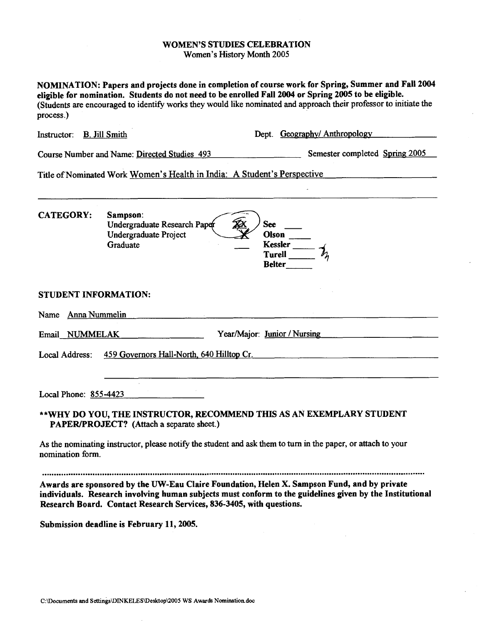### WOMEN'S STUDIES CELEBRATION Women's History Month **2005**

NOMINATION: Papers and projects done in completion of course work for Spring, Summer and Fall 2004 eligible for nomination. Students do not need to be enrolled Fall 2004 or Spring 2005 to be eligible. (Students are encouraged to identify works they would like nominated and approach their professor to initiate the process.)

Instructor: B. Jill Smith Dept. Geography/ Anthropology

Course Number and Name: Directed Studies 493 **Semester completed Spring 2005** 

Title of Nominated Work Women's Health in India: A Student's Perspective

| <b>CATEGORY:</b>            | Sampson:<br>Undergraduate Research Paper<br><b>See</b><br><b>Undergraduate Project</b><br>Olson<br>Graduate<br>Kessler $\frac{1}{\lambda_{\lambda}}$<br><b>Belter</b> |
|-----------------------------|-----------------------------------------------------------------------------------------------------------------------------------------------------------------------|
| <b>STUDENT INFORMATION:</b> |                                                                                                                                                                       |
| Name Anna Nummelin          |                                                                                                                                                                       |
| Email NUMMELAK              | Year/Major: Junior / Nursing                                                                                                                                          |
|                             | Local Address: 459 Governors Hall-North, 640 Hilltop Cr.                                                                                                              |
| Local Phone: 855-4423       |                                                                                                                                                                       |
|                             | **WHY DO YOU, THE INSTRUCTOR, RECOMMEND THIS AS AN EXEMPLARY STUDENT<br>PAPER/PROJECT? (Attach a separate sheet.)                                                     |
| nomination form.            | As the nominating instructor, please notify the student and ask them to turn in the paper, or attach to your                                                          |

Submission deadline is February 11, 2005.

Research Board. Contact Research Services, 836-3405, with questions.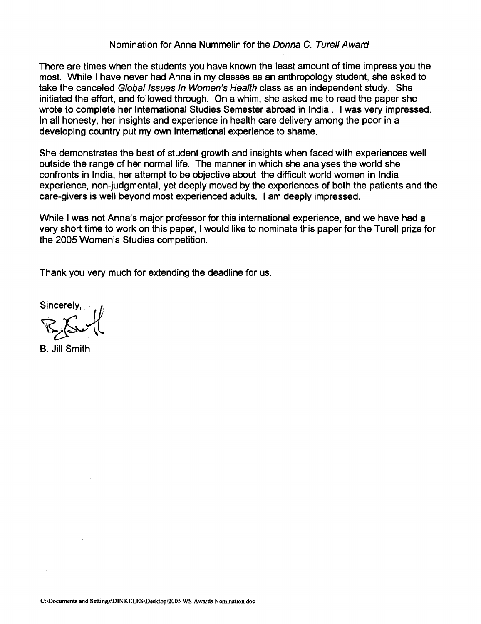# Nomination for Anna Nummelin for the **Donna** C. **Turell Award**

There are times when the students you have known the least amount of time impress you the most. While I have never had Anna in my classes as an anthropology student, she asked to take the canceled **Global Issues In Women's Health** class as an independent study. She initiated the effort, and followed through. On a whim, she asked me to read the paper she wrote to complete her International Studies Semester abroad in lndia . I was very impressed. In all honesty, her insights and experience in health care delivery among the poor in a developing country put my own international experience to shame.

She demonstrates the best of student growth and insights when faced with experiences well outside the range of her normal life. The manner in which she analyses the world she confronts in India, her attempt to be objective about the difficult world women in lndia experience, non-judgmental, yet deeply moved by the experiences of both the patients and the care-givers is well beyond most experienced adults. I am deeply impressed.

While I was not Anna's major professor for this international experience, and we have had a very short time to work on this paper, I would like to nominate this paper for the Turell prize for the 2005 Women's Studies competition.

Thank you very much for extending the deadline for us.

Sincerely, sincerely,

B. Jill Smith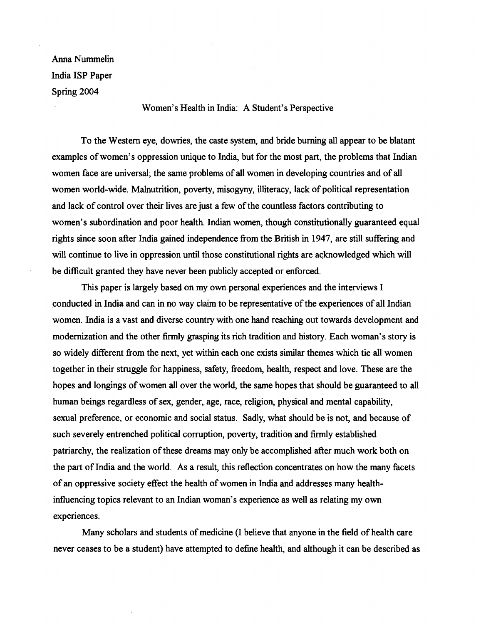Anna Nummelin India ISP Paper Spring 2004

Women's Health in India: A Student's Perspective

To the Western eye, dowries, the caste system, and bride burning all appear to be blatant examples of women's oppression unique to India, but for the most part, the problems that Indian women face are universal; the same problems of all women in developing countries and of all women world-wide. Malnutrition, poverty, misogyny, illiteracy, lack of political representation and lack of control over their lives are just a few of the countless factors contributing to women's subordination and poor health. Indian women, though constitutionally guaranteed equal rights since soon after India gained independence from the British in 1947, are still suffering and will continue to live in oppression until those constitutional rights are acknowledged which will be difficult granted they have never been publicly accepted or enforced.

This paper is largely based on my own personal experiences and the interviews I conducted in India and can in no way claim to be representative of the experiences of all Indian women. India is a vast and diverse country with one hand reaching out towards development and modernization and the other firmly grasping its rich tradition and history. Each woman's story is so widely different from the next, yet within each one exists similar themes which tie all women together in their struggle for happiness, safety, freedom, health, respect and love. These are the hopes and longings of women all over the world, the same hopes that should be guaranteed to all human beings regardless of sex, gender, age, race, religion, physical and mental capability, sexual preference, or economic and social status. Sadly, what should be is not, and because of such severely entrenched political corruption, poverty, tradition and firmly established patriarchy, the realization of these dreams may only be accomplished after much work both on the part of India and the world. As a result, this reflection concentrates on how the many facets of an oppressive society effect the health of women in India and addresses many healthinfluencing topics relevant to an Indian woman's experience as well as relating my own experiences.

Many scholars and students of medicine (I believe that anyone in the field of health care never ceases to be a student) have attempted to define health, and although it can be described as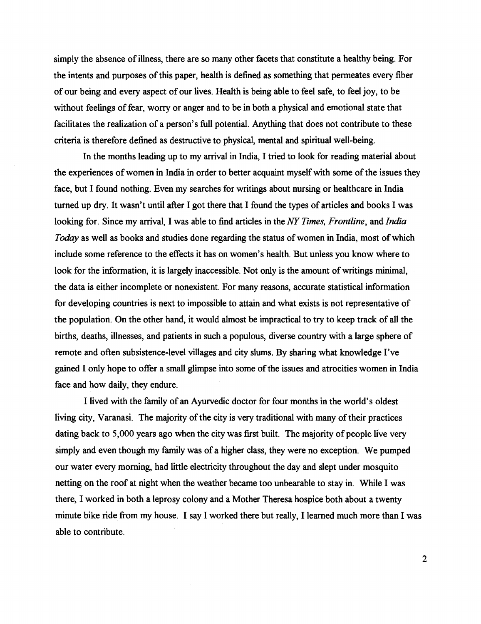simply the absence of illness, there are so many other facets that constitute a healthy being. For the intents and purposes of this paper, health is defined as something that permeates every fiber of our being and every aspect of our lives. Health is being able to feel safe, to feel joy, to be without feelings of fear, worry or anger and to be in both a physical and emotional state that facilitates the realization of a person's full potential. Anything that does not contribute to these criteria is therefore defined as destructive to physical, mental and spiritual well-being.

In the months leading up to my arrival in India, I tried to look for reading material about the experiences of women in India in order to better acquaint myself with some of the issues they face, but I found nothing. Even my searches for writings about nursing or healthcare in India turned up dry. It wasn't until after I got there that I found the types of articles and books I was looking for. Since my arrival, I was able to find articles in the NY Times, Frontline, and India Today as well as books and studies done regarding the status of women in India, most of which include some reference to the effects it has on women's health. But unless you know where to look for the information, it is largely inaccessible. Not only is the amount of writings minimal, the data is either incomplete or nonexistent. For many reasons, accurate statistical information for developing countries is next to impossible to attain and what exists is not representative of the population. On the other hand, it would almost be impractical to try to keep track of all the births, deaths, illnesses, and patients in such a populous, diverse country with a large sphere of remote and often subsistence-level villages and city slums. By sharing what knowledge I've gained I only hope to offer a small glimpse into some of the issues and atrocities women in India face and how daily, they endure.

I lived with the family of an Ayurvedic doctor for four months in the world's oldest living city, Varanasi. The majority of the city is very traditional with many of their practices dating back to 5,000 years ago when the city was first built. The majority of people live very simply and even though my family was of a higher class, they were no exception. We pumped our water every morning, had little electricity throughout the day and slept under mosquito netting on the roof at night when the weather became too unbearable to stay in. While I was there, I worked in both a leprosy colony and a Mother Theresa hospice both about a twenty minute bike ride from my house. I say I worked there but really, I learned much more than I was able to contribute.

 $\overline{2}$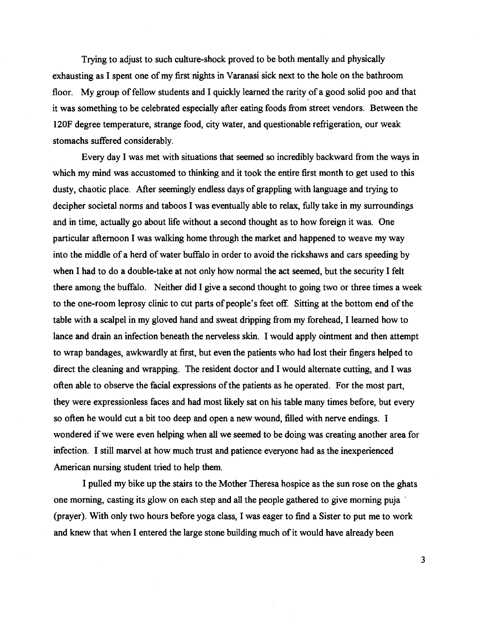Trying to adjust to such culture-shock proved to be both mentally and physically exhausting as I spent one of my first nights in Varanasi sick next to the hole on the bathroom floor. My group of fellow students and I quickly learned the rarity of a good solid poo and that it was something to be celebrated especially after eating foods from street vendors. Between the 120F degree temperature, strange food, city water, and questionable refigeration, our weak stomachs suffered considerably.

Every day I was met with situations that seemed so incredibly backward from the ways in which my mind was accustomed to thinking and it took the entire first month to get used to this dusty, chaotic place. After seemingly endless days of grappling with language and trying to decipher societal norms and taboos I was eventually able to relax, fully take in my surroundings and in time, actually go about life without a second thought as to how foreign it was. One particular afternoon I was walking home through the market and happened to weave my way into the middle of a herd of water buffalo in order to avoid the rickshaws and cars speeding by when I had to do a double-take at not only how normal the act seemed, but the security I felt there among the buffalo. Neither did I give a second thought to going two or three times a week to the one-room leprosy clinic to cut parts of people's feet off. Sitting at the bottom end of the table with a scalpel in my gloved hand and sweat dripping from my forehead, I learned how to lance and drain an infection beneath the nerveless skin. I would apply ointment and then attempt to wrap bandages, awkwardly at first, but even the patients who had lost their fingers helped to direct the cleaning and wrapping. The resident doctor and I would alternate cutting, and I was often able to observe the facial expressions of the patients as he operated. For the most part, they were expressionless faces and had most likely sat on his table many times before, but every so often he would cut a bit too deep and open a new wound, filled with nerve endings. I wondered if we were even helping when **all** we seemed to be doing was creating another area for infection. I still marvel at how much trust and patience everyone had as the inexperienced American nursing student tried to help them.

I pulled my bike up the stairs to the Mother Theresa hospice as the sun rose on the ghats one morning, casting its glow on each step and all the people gathered to give morning puja (prayer). With only two hours before yoga class, I was eager to find a Sister to put me to work and knew that when I entered the large stone building much of it would have already been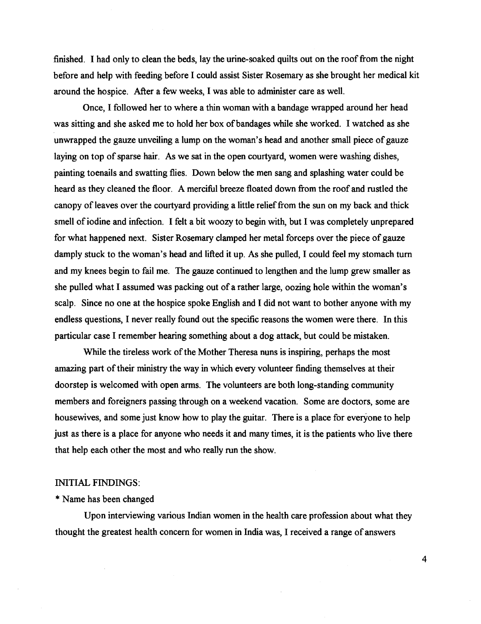finished. I had only to clean the beds, lay the urine-soaked quilts out on the roof from the night before and help with feeding before I could assist Sister Rosemary as she brought her medical kit around the hospice. After a few weeks, I was able to administer care as well.

Once, I followed her to where a thin woman with a bandage wrapped around her head was sitting and she asked me to hold her box of bandages while she worked. I watched as she unwrapped the gauze unveiling a lump on the woman's head and another small piece of gauze laying on top of sparse hair. As we sat in the open courtyard, women were washing dishes, painting toenails and swatting flies. Down below the men sang and splashing water could be heard as they cleaned the floor. A merciful breeze floated down from the roof and rustled the canopy of leaves over the courtyard providing a little relief from the sun on my back and thick smell of iodine and infection. I felt a bit woozy to begin with, but I was completely unprepared for what happened next. Sister Rosemary clamped her metal forceps over the piece of gauze damply stuck to the woman's head and lifted it up. As she pulled, I could feel my stomach turn and my knees begin to fail me. The gauze continued to lengthen and the lump grew smaller as she pulled what I assumed was packing out of a rather large, oozing hole within the woman's scalp. Since no one at the hospice spoke English and I did not want to bother anyone with my endless questions, I never really found out the specific reasons the women were there. In this particular case I remember hearing something about a dog attack, but could be mistaken.

While the tireless work of the Mother Theresa nuns is inspiring, perhaps the most amazing part of their ministry the way in which every volunteer finding themselves at their doorstep is welcomed with open arms. The volunteers are both long-standing community members and foreigners passing through on a weekend vacation. Some are doctors, some are housewives, and some just know how to play the guitar. There is a place for everyone to help just as there is a place for anyone who needs it and many times, it is the patients who live there that help each other the most and who really run the show.

# **INITIAL FINDINGS:**

## \* Name has been changed

Upon interviewing various Indian women in the health care profession about what they thought the greatest health concern for women in India was, I received a range of answers

 $\overline{\mathbf{4}}$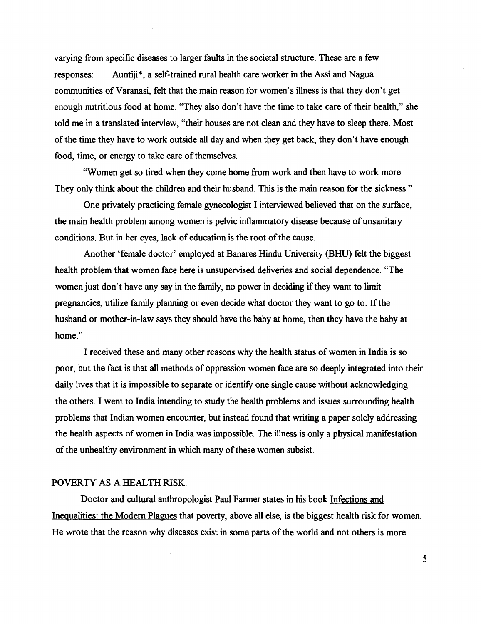varying from specific diseases to larger faults in the societal structure. These are a few responses: Auntiji\*, a self-trained rural health care worker in the Assi and Nagua communities of Varanasi, felt that the main reason for women's illness is that they don't get enough nutritious food at home. "They also don't have the time to take care of their health," she told me in a translated interview, "their houses are not clean and they have to sleep there. Most of the time they have to work outside all day and when they get back, they don't have enough food, time, or energy to take care of themselves.

"Women get so tired when they come home from work and then have to work more. They only think about the children and their husband. This is the main reason for the sickness."

One privately practicing female gynecologist I interviewed believed that on the surface, the main health problem among women is pelvic inflammatory disease because of unsanitary conditions. But in her eyes, lack of education is the root of the cause.

Another 'female doctor' employed at Banares Hindu University **(BHU)** felt the biggest health problem that women face here is unsupervised deliveries and social dependence. "The women just don't have any say in the family, no power in deciding if they want to limit pregnancies, utilize family planning or even decide what doctor they want to go to. If the husband or mother-in-law says they should have the baby at home, then they have the baby at home"

I received these and many other reasons why the health status of women in India is so poor, but the fact is that all methods of oppression women face are so deeply integrated into their daily lives that it is impossible to separate or identify one single cause without acknowledging the others. I went to India intending to study the health problems and issues surrounding health problems that Indian women encounter, but instead found that writing a paper solely addressing the health aspects of women in India was impossible. The illness is only a physical manifestation of the unhealthy environment in which many of these women subsist.

## POVERTY AS A HEALTH RISK:

Doctor and cultural anthropologist Paul Farmer states in his book Infections and Inequalities: the Modern Plagues that poverty, above all else, is the biggest health risk for women. He wrote that the reason why diseases exist in some parts of the world and not others is more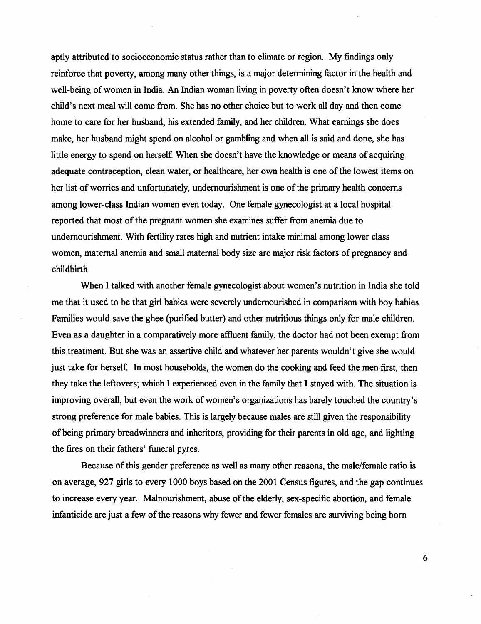aptly attributed to socioeconomic status rather than to climate or region. My findings only reinforce that poverty, among many other things, is a major determining factor in the health and well-being of women in India. An Indian woman living in poverty often doesn't know where her child's next meal will come fiom. She has no other choice but to work all day and then come home to care for her husband, his extended family, and her children. What earnings she does make, her husband might spend on alcohol or gambling and when all is said and done, she has little energy to spend on herself. When she doesn't have the knowledge or means of acquiring adequate contraception, clean water, or healthcare, her own health is one of the lowest items on her list of worries and unfortunately, undernourishment is one of the primary health concerns among lower-class Indian women even today. One female gynecologist at a local hospital reported that most of the pregnant women she examines suffer fiom anemia due to undernourishment. With fertility rates high and nutrient intake minimal among lower class women, maternal anemia and small maternal body size are major risk factors of pregnancy and childbirth.

When I talked with another female gynecologist about women's nutrition in India she told me that it used to be that girl babies were severely undernourished in comparison with boy babies. Families would save the ghee (purified butter) and other nutritious things only for male children. Even as a daughter in a comparatively more affluent family, the doctor had not been exempt from this treatment. But she was an assertive child and whatever her parents wouldn't give she would just take for herself. In most households, the women do the cooking and feed the men first, then they take the leftovers; which I experienced even in the family that I stayed with. The situation is improving overall, but even the work of women's organizations has barely touched the country's strong preference for male babies. This is largely because males are still given the responsibility of being primary breadwinners and inheritors, providing for their parents in old age, and lighting the fires on their fathers' funeral pyres.

Because of this gender preference as well as many other reasons, the male/female ratio is on average, 927 girls to every 1000 boys based on the 2001 Census figures, and the gap continues to increase every year. Malnourishment, abuse of the elderly, sex-specific abortion, and female infanticide are just a few of the reasons why fewer and fewer females are surviving being born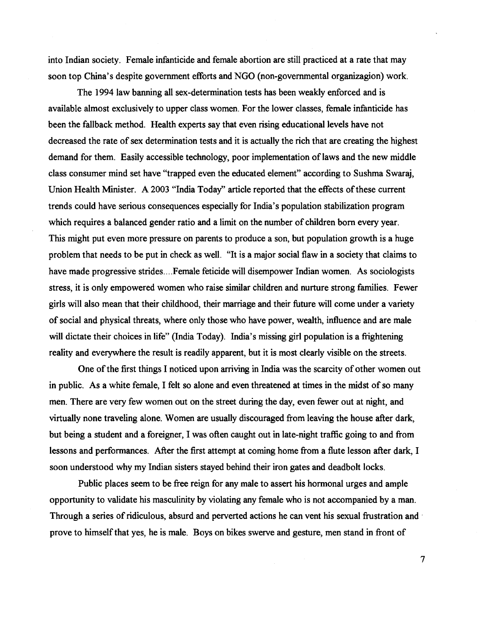into Indian society. Female infanticide and female abortion are still practiced at a rate that may soon top China's despite government efforts and NGO (non-governmental organizagion) work.

The 1994 law banning all sex-determination tests has been weakly enforced and is available almost exclusively to upper class women. For the lower classes, female infanticide has been the fallback method. Health experts say that even rising educational levels have not decreased the rate of sex determination tests and it is actually the rich that are creating the highest demand for them. Easily accessible technology, poor implementation of laws and the new middle class consumer mind set have "trapped even the educated element" according to Sushrna Swaraj, Union Health Minister. A 2003 "India Today" article reported that the effects of these current trends could have serious consequences especially for India's population stabilization program which requires a balanced gender ratio and a limit on the number of children born every year. This might put even more pressure on parents to produce a son, but population growth is a huge problem that needs to be put in check as well. "It is a major social flaw in a society that claims to have made progressive strides....Female feticide will disempower Indian women. As sociologists stress, it is only empowered women who raise similar children and nurture strong families. Fewer girls will also mean that their childhood, their marriage and their future will come under a variety of social and physical threats, where only those who have power, wealth, influence and are male will dictate their choices in life" (India Today). India's missing girl population is a frightening reality and everywhere the result is readily apparent, but it is most clearly visible on the streets.

One of the first things I noticed upon arriving in India was the scarcity of other women out in public. As a white female, I felt so alone and even threatened at times in the midst of so many men. There are very few women out on the street during the day, even fewer out at night, and virtually none traveling alone. Women are usually discouraged from leaving the house after dark, but being a student and a foreigner, I was often caught out in late-night traffic going to and from lessons and performances. After the first attempt at coming home from a flute lesson after dark, I soon understood why my Indian sisters stayed behind their iron gates and deadbolt locks.

Public places seem to be free reign for any male to assert his hormonal urges and ample opportunity to validate his masculinity by violating any female who is not accompanied by a man. Through a series of ridiculous, absurd and perverted actions he can vent his sexual frustration and prove to himself that yes, he is male. Boys on bikes swerve and gesture, men stand in front of

 $\overline{7}$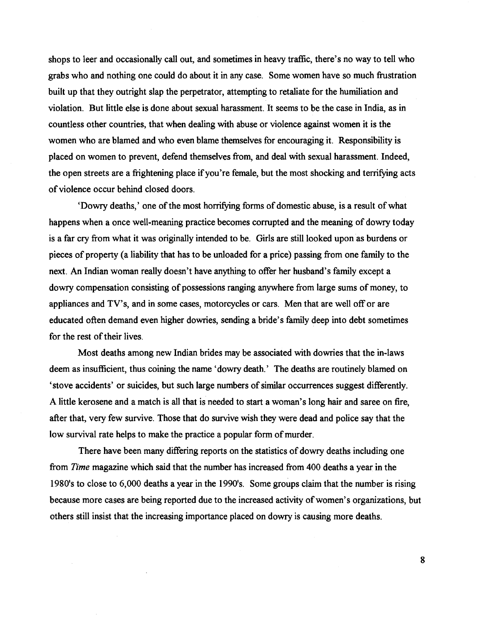shops to leer and occasionally call out, and sometimes in heavy traflic, there's no way to tell who grabs who and nothing one could do about it in any case. Some women have so much frustration built up that they outright slap the perpetrator, attempting to retaliate for the humiliation and violation. But little else is done about sexual harassment. It seems to be the case in India, as in countless other countries, that when dealing with abuse or violence against women it is the women who are blamed and who even blame themselves for encouraging it. Responsibility is placed on women to prevent, defend themselves fiom, and deal with sexual harassment. Indeed, the open streets are a frightening place if you're female, but the most shocking and terrifying acts of violence occur behind closed doors.

'Dowry deaths,' one of the most horrifying forms of domestic abuse, is a result of what happens when a once well-meaning practice becomes corrupted and the meaning of dowry today is a far cry fiom what it was originally intended to be. Girls are still looked upon as burdens or pieces of property (a liability that has to be unloaded for a price) passing fiom one family to the next. An Indian woman really doesn't have anything to offer her husband's family except a dowry compensation consisting of possessions ranging anywhere fiom large sums of money, to appliances and TV's, and in some cases, motorcycles or cars. Men that are well off or are educated often demand even higher dowries, sending a bride's family deep into debt sometimes for the rest of their lives.

Most deaths among new Indian brides may be associated with dowries that the in-laws deem as insufficient, thus coining the name 'dowry death.' The deaths are routinely blamed on 'stove accidents' or suicides, but such large numbers of similar occurrences suggest differently. A little kerosene and a match is **all** that is needed to start a woman's long hair and saree on fire, after that, very few survive. Those that do survive wish they were dead and police say that the low survival rate helps to make the practice a popular form of murder.

There have been many differing reports on the statistics of dowry deaths including one from Time magazine which said that the number has increased from 400 deaths a year in the 1980's to close to 6,000 deaths a year in the 1990's. Some groups claim that the number is rising because more cases are being reported due to the increased activity of women's organizations, but others still insist that the increasing importance placed on dowry is causing more deaths.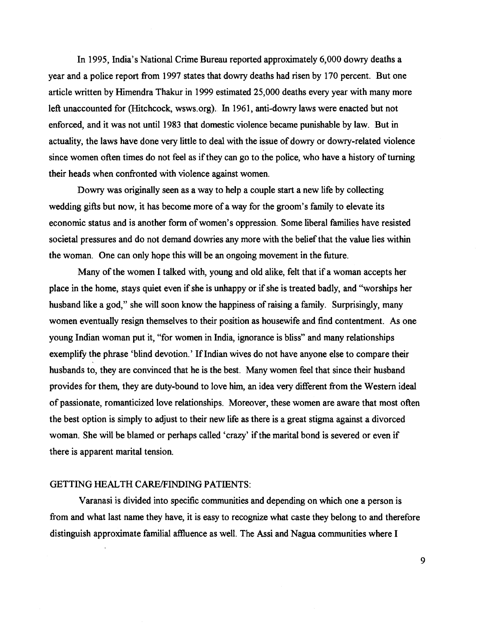In 1995, India's National Crime Bureau reported approximately 6,000 dowry deaths a year and a police report from 1997 states that dowry deaths had risen by 170 percent. But one article written by Himendra Thakur in 1999 estimated 25,000 deaths every year with many more left unaccounted for (Hitchcock, wsws.org). In 1961, anti-dowry laws were enacted but not enforced, and it was not until 1983 that domestic violence became punishable by law. But in actuality, the laws have done very little to deal with the issue of dowry or dowry-related violence since women often times do not feel as if they can go to the police, who have a history of turning their heads when confronted with violence against women.

Dowry was originally seen as a way to help a couple start a new life by collecting wedding gifts but now, it has become more of a way for the groom's family to elevate its economic status and is another form of women's oppression. Some liberal families have resisted societal pressures and do not demand dowries any more with the belief that the value lies within the woman. One can only hope this will be an ongoing movement in the future.

Many of the women I talked with, young and old alike, felt that if a woman accepts her place in the home, stays quiet even if she is unhappy or if she is treated badly, and "worships her husband like a god," she will soon know the happiness of raising a family. Surprisingly, many women eventually resign themselves to their position as housewife and find contentment. As one young Indian woman put it, "for women in India, ignorance is bliss" and many relationships exemplify the phrase 'blind devotion.' If Indian wives do not have anyone else to compare their husbands to, they are convinced that he is the best. Many women feel that since their husband provides for them, they are duty-bound to love him, an idea very different from the Western ideal of passionate, romanticized love relationships. Moreover, these women are aware that most often the best option is simply to adjust to their new life as there is a great stigma against a divorced woman. She will be blamed or perhaps called 'crazy' if the marital bond is severed or even if there is apparent marital tension.

## GETTING HEALTH CARE/FINDING PATIENTS:

Varanasi is divided into specific communities and depending on which one a person is from and what last name they have, it is easy to recognize what caste they belong to and therefore distinguish approximate familial affluence as well. The Assi and Nagua communities where I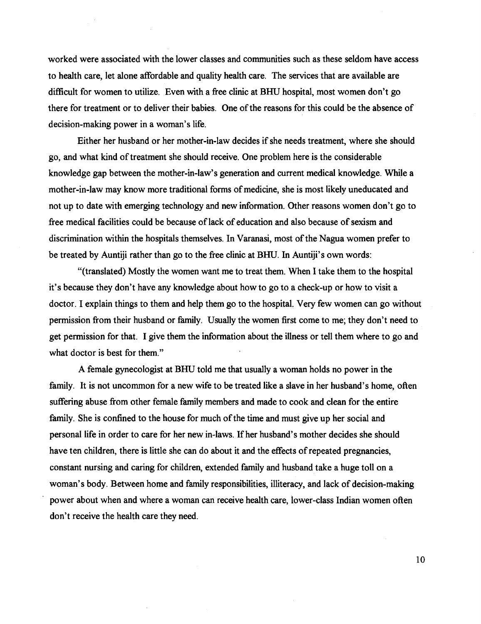worked were associated with the lower classes and communities such as these seldom have access to health care, let alone affordable and quality health care. The services that are available are difficult for women to utilize. Even with a free clinic at BHU hospital, most women don't go there for treatment or to deliver their babies. One of the reasons for this could be the absence of decision-making power in a woman's life.

Either her husband or her mother-in-law decides if she needs treatment, where she should go, and what kind of treatment she should receive. One problem here is the considerable knowledge gap between the mother-in-law's generation and current medical knowledge. While a mother-in-law may know more traditional forms of medicine, she is most likely uneducated and not up to date with emerging technology and new information. Other reasons women don't go to free medical facilities could be because of lack of education and also because of sexism and discrimination within the hospitals themselves. In Varanasi, most of the Nagua women prefer to be treated by Auntiji rather than go to the free clinic at BHU. In Auntiji's own words:

"(translated) Mostly the women want me to treat them. When I take them to the hospital it's because they don't have any knowledge about how to go to a check-up or how to visit a doctor. I explain things to them and help them go to the hospital. Very few women can go without permission from their husband or family. Usually the women first come to me; they don't need to get permission for that. I give them the information about the illness or tell them where to go and what doctor is best for them."

A female gynecologist at BHU told me that usually a woman holds no power in the family. It is not uncommon for a new wife to be treated like a slave in her husband's home, often suffering abuse from other female family members and made to cook and clean for the entire family. She is confined to the house for much of the time and must give up her social and personal life in order to care for her new in-laws. If her husband's mother decides she should have ten children, there is little she can do about it and the effects of repeated pregnancies, constant nursing and caring for children, extended family and husband take a huge toll on a woman's body. Between home and family responsibilities, illiteracy, and lack of decision-making power about when and where a woman can receive health care, lower-class Indian women often don't receive the health care they need.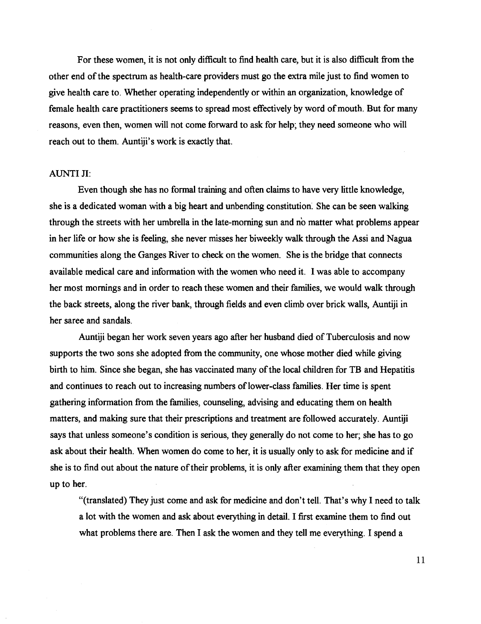For these women, it is not only difficult to find health care, but it is also difficult fiom the other end of the spectrum as health-care providers must go the extra mile just to find women to give health care to. Whether operating independently or within an organization, knowledge of female health care practitioners seems to spread most effectively by word of mouth. But for many reasons, even then, women will not come forward to ask for help; they need someone who will reach out to them. Auntiji's work is exactly that.

### **AUNTI JI:**

Even though she has no formal training and often claims to have very little knowledge, she is a dedicated woman with a big heart and unbending constitution. She can be seen walking through the streets with her umbrella in the late-morning sun and no matter what problems appear in her life or how she is feeling, she never misses her biweekly walk through the Assi and Nagua communities along the Ganges River to check on the women. She is the bridge that connects available medical care and information with the women who need it. I was able to accompany her most mornings and in order to reach these women and their families, we would walk through the back streets, along the river bank, through fields and even climb over brick walls, Auntiji in her saree and sandals.

Auntiji began her work seven years ago after her husband died of Tuberculosis and now supports the two sons she adopted fiom the community, one whose mother died while giving birth to him. Since she began, she has vaccinated many of the local children for **TB** and Hepatitis and continues to reach out to increasing numbers of lower-class families. Her time is spent gathering information from the families, counseling, advising and educating them on health matters, and making sure that their prescriptions and treatment are followed accurately. Auntiji says that unless someone's condition is serious, they generally do not come to her; she has to go ask about their health. When women do come to her, it is usually only to ask for medicine and if she is to find out about the nature of their problems, it is only after examining them that they open up to her.

"(translated) They just come and ask for medicine and don't tell. That's why I need to talk a lot with the women and ask about everything in detail. I first examine them to find out what problems there are. Then I ask the women and they tell me everything. I spend a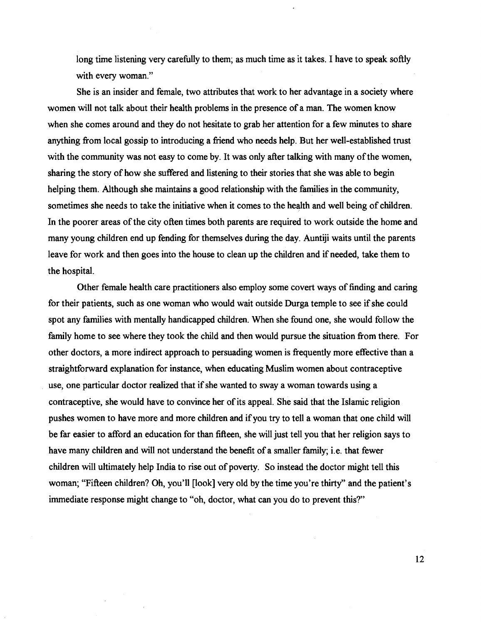long time listening very carefully to them; as much time as it takes. I have to speak softly with every woman."

She is an insider and female, two attributes that work to her advantage in a society where women will not talk about their health problems in the presence of a man. The women know when she comes around and they do not hesitate to grab her attention for a few minutes to share anything from local gossip to introducing a friend who needs help. But her well-established trust with the community was not easy to come by. It was only after talking with many of the women, sharing the story of how she suffered and listening to their stories that she was able to begin helping them. Although she maintains a good relationship with the families in the community, sometimes she needs to take the initiative when it comes to the health and well being of children. In the poorer areas of the city often times both parents are required to work outside the home and many young children end up fending for themselves during the day. Auntiji waits until the parents leave for work and then goes into the house to clean up the children and if needed, take them to the hospital.

Other female health care practitioners also employ some covert ways of finding and caring for their patients, such as one woman who would wait outside Durga temple to see if she could spot any families with mentally handicapped children. When she found one, she would follow the family home to see where they took the child and then would pursue the situation from there. For other doctors, a more indirect approach to persuading women is frequently more effective than a straightforward explanation for instance, when educating Muslim women about contraceptive use, one particular doctor realized that if she wanted to sway a woman towards using a contraceptive, she would have to convince her of its appeal. She said that the Islamic religion pushes women to have more and more children and if you try to tell a woman that one child will be far easier to afford an education for than fifteen, she will just tell you that her religion says to have many children and will not understand the benefit of a smaller family; i.e. that fewer children will ultimately help India to rise out of poverty. So instead the doctor might tell this woman; "Fifteen children? Oh, you'll [look] very old by the time you're thirty" and the patient's immediate response might change to "oh, doctor, what can you do to prevent this?'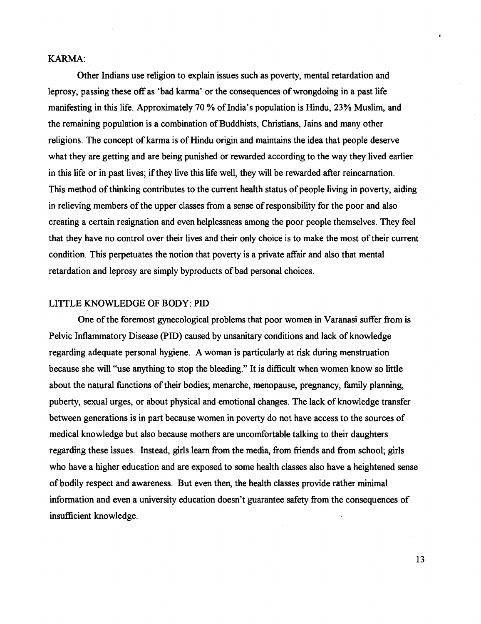### **KARMA:**

Other Indians use religion to explain issues such as poverty, mental retardation and leprosy, passing these off as 'bad karma' or the consequences of wrongdoing in a past life manifesting in this life. Approximately 70 % of India's population is Hindu, **23%** Muslim, and the remaining population is a combination of Buddhists, Christians, Jains and many other religions. The concept of karma is of Hindu origin and maintains the idea that people deserve what they are getting and are being punished or rewarded according to the way they lived earlier in this life or in past lives; if they live this life well, they will be rewarded after reincarnation. This method of thinking contributes to the current health status of people living in poverty, aiding in relieving members of the upper classes from a sense of responsibility for the poor and also creating a certain resignation and even helplessness among the poor people themselves. They feel that they have no control over their lives and their only choice is to make the most of their current condition. This perpetuates the notion that poverty is a private affair and also that mental retardation and leprosy are simply byproducts of bad personal choices.

### LITTLE KNOWLEDGE OF BODY: **PID**

One of the foremost gynecological problems that poor women in Varanasi suffer from is Pelvic Inflammatory Disease (PID) caused by unsanitary conditions and lack of knowledge regarding adequate personal hygiene. A woman is particularly at risk during menstruation because she will "use anything to stop the bleeding." It is difficult when women know so little about the natural finctions of their bodies; menarche, menopause, pregnancy, family planning, puberty, sexual urges, or about physical and emotional changes. The lack of knowledge transfer between generations is in part because women in poverty do not have access to the sources of medical knowledge but also because mothers are uncomfortable talking to their daughters regarding these issues. Instead, girls learn from the media, from friends and from school; girls who have a higher education and are exposed to some health classes also have a heightened sense of bodily respect and awareness. But even then, the health classes provide rather minimal information and even a university education doesn't guarantee safety fiom the consequences of insufficient knowledge.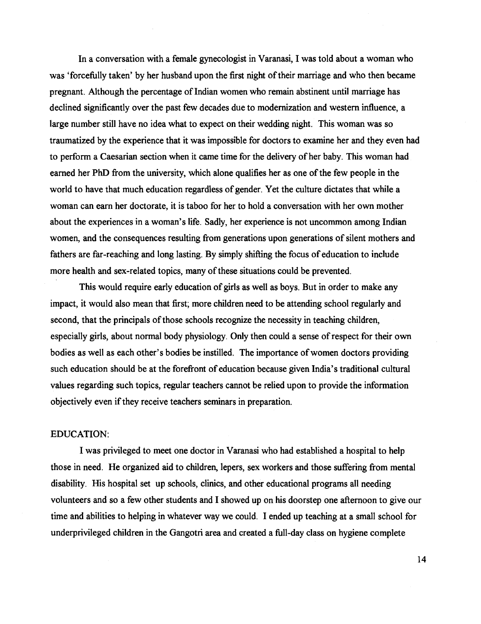In a conversation with a female gynecologist in Varanasi, I was told about a woman who was 'forcefilly taken' by her husband upon the first night of their marriage and who then became pregnant. Although the percentage of Indian women who remain abstinent until marriage has declined significantly over the past few decades due to modernization and western influence, a large number still have no idea what to expect on their wedding night. This woman was so traumatized by the experience that it was impossible for doctors to examine her and they even had to perform a Caesarian section when it came time for the delivery of her baby. This woman had earned her **PhD** from the university, which alone qualifies her as one of the few people in the world to have that much education regardless of gender. Yet the culture dictates that while a woman can earn her doctorate, it is taboo for her to hold a conversation with her own mother about the experiences in a woman's life. Sadly, her experience is not uncommon among Indian women, and the consequences resulting from generations upon generations of silent mothers and fathers are far-reaching and long lasting. By simply shifting the focus of education to include more health and sex-related topics, many of these situations could be prevented.

This would require early education of girls as well as boys. But in order to make any impact, it would also mean that first; more children need to be attending school regularly and second, that the principals of those schools recognize the necessity in teaching children, especially girls, about normal body physiology. Only then could a sense of respect for their own bodies as well as each other's bodies be instilled. The importance of women doctors providing such education should be at the forefront of education because given India's traditional cultural values regarding such topics, regular teachers cannot be relied upon to provide the information objectively even if they receive teachers seminars in preparation.

#### EDUCATION:

I was privileged to meet one doctor in Varanasi who had established a hospital to help those in need. He organized aid to children, lepers, sex workers and those suffering from mental disability. His hospital set up schools, clinics, and other educational programs all needing volunteers and so a few other students and I showed up on his doorstep one afternoon to give our time and abilities to helping in whatever way we could. I ended up teaching at a small school for underprivileged children in the Gangotri area and created a fill-day class on hygiene complete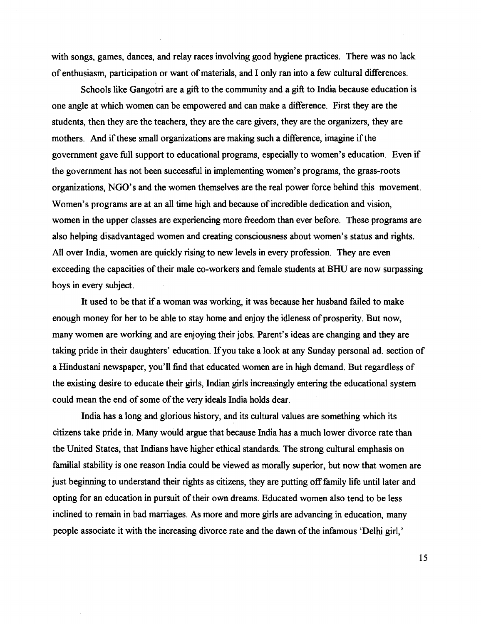with songs, games, dances, and relay races involving good hygiene practices. There was no lack of enthusiasm, participation or want of materials, and I only ran into a few cultural differences.

Schools like Gangotri are a gift to the community and a gift to India because education is one angle at which women can be empowered and can make a difference. First they are the students, then they are the teachers, they are the care givers, they are the organizers, they are mothers. And if these small organizations are making such a difference, imagine if the government gave full support to educational programs, especially to women's education. Even if the government has not been successful in implementing women's programs, the grass-roots organizations, NGO's and the women themselves are the real power force behind this movement. Women's programs are at an all time high and because of incredible dedication and vision, women in the upper classes are experiencing more freedom than ever before. These programs are also helping disadvantaged women and creating consciousness about women's status and rights. All over India, women are quickly rising to new levels in every profession. They are even exceeding the capacities of their male co-workers and female students at BHU are now surpassing boys in every subject.

It used to be that if a woman was working, it was because her husband failed to make enough money for her to be able to stay home and enjoy the idleness of prosperity. But now, many women are working and are enjoying their jobs. Parent's ideas are changing and they are taking pride in their daughters' education. If you take a look at any Sunday personal ad. section of a Hindustani newspaper, you'll find that educated women are in high demand. But regardless of the existing desire to educate their girls, Indian girls increasingly entering the educational system could mean the end of some of the very ideals India holds dear.

India has a long and glorious history, and its cultural values are something which its citizens take pride in. Many would argue that because India has a much lower divorce rate than the United States, that Indians have higher ethical standards. The strong cultural emphasis on familial stability is one reason India could be viewed as morally superior, but now that women are just beginning to understand their rights as citizens, they are putting off family life until later and opting for an education in pursuit of their own dreams. Educated women also tend to be less inclined to remain in bad marriages. As more and more girls are advancing in education, many people associate it with the increasing divorce rate and the dawn of the infamous 'Delhi girl,'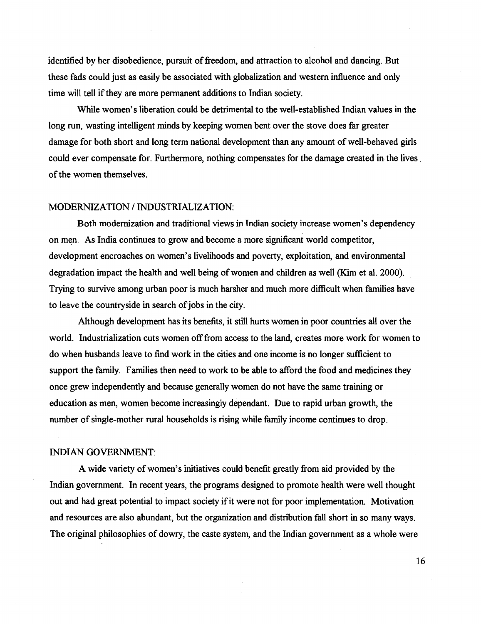identified by her disobedience, pursuit of freedom, and attraction to alcohol and dancing. But these fads could just as easily be associated with globalization and western influence and only time will tell if they are more permanent additions to Indian society.

While women's liberation could be detrimental to the well-established Indian values in the long run, wasting intelligent minds by keeping women bent over the stove does far greater damage for both short and long term national development than any amount of well-behaved girls could ever compensate for. Furthermore, nothing compensates for the damage created in the lives of the women themselves.

## MODERNIZATION / INDUSTRIALIZATION:

Both modernization and traditional views in Indian society increase women's dependency on men. As India continues to grow and become a more significant world competitor, development encroaches on women's livelihoods and poverty, exploitation, and environmental degradation impact the health and well being of women and children as well (Kim et al. 2000). Trying to survive among urban poor is much harsher and much more difficult when families have to leave the countryside in search of jobs in the city.

Although development has its benefits, it still hurts women in poor countries all over the world. Industrialization cuts women off from access to the land, creates more work for women to do when husbands leave to find work in the cities and one income is no longer sufficient to support the family. Families then need to work to be able to afford the food and medicines they once grew independently and because generally women do not have the same training or education as men, women become increasingly dependant. Due to rapid urban growth, the number of single-mother rural households is rising while family income continues to drop.

#### INDIAN GOVERNMENT:

A wide variety of women's initiatives could benefit greatly from aid provided by the Indian government. In recent years, the programs designed to promote health were well thought out and had great potential to impact society if it were not for poor implementation. Motivation and resources are also abundant, but the organization and distribution fall short in so many ways. The original philosophies of dowry, the caste system, and the Indian government as a whole were